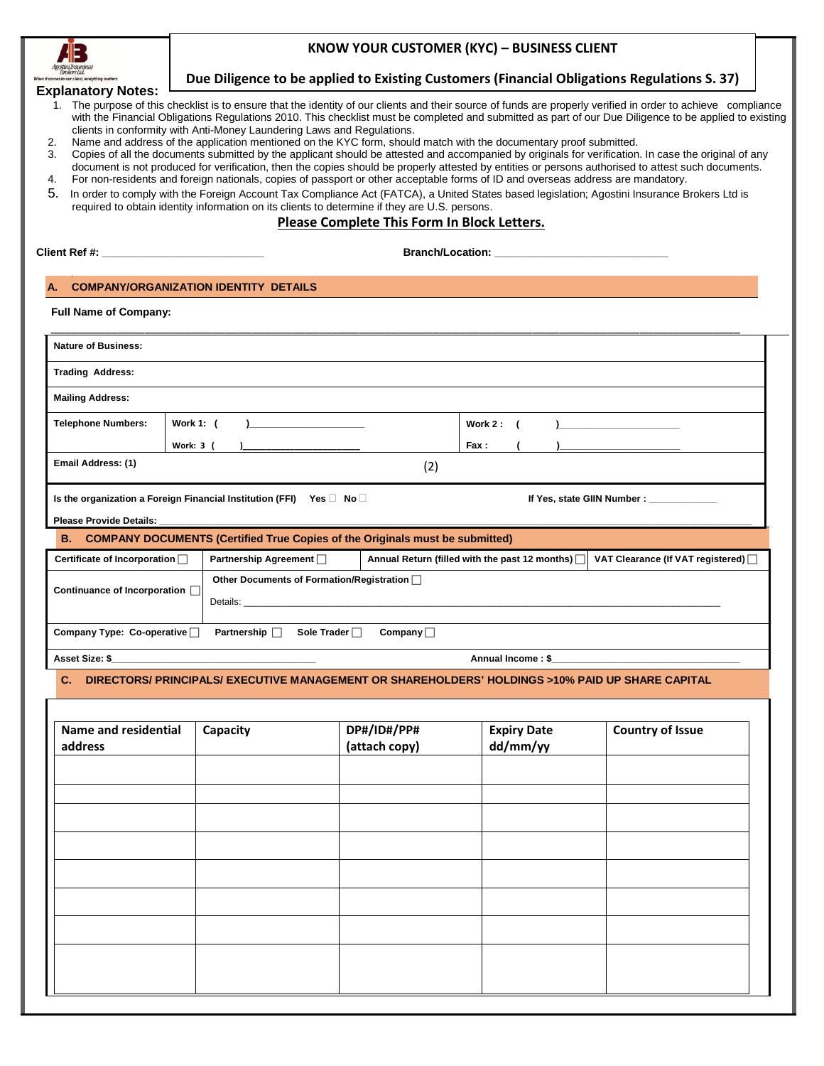

# **KNOW YOUR CUSTOMER (KYC) – BUSINESS CLIENT**

## **Due Diligence to be applied to Existing Customers (Financial Obligations Regulations S. 37)**

- **Explanatory Notes:** 1. The purpose of this checklist is to ensure that the identity of our clients and their source of funds are properly verified in order to achieve compliance with the Financial Obligations Regulations 2010. This checklist must be completed and submitted as part of our Due Diligence to be applied to existing clients in conformity with Anti-Money Laundering Laws and Regulations.
	- 2. Name and address of the application mentioned on the KYC form, should match with the documentary proof submitted.
	- 3. Copies of all the documents submitted by the applicant should be attested and accompanied by originals for verification. In case the original of any document is not produced for verification, then the copies should be properly attested by entities or persons authorised to attest such documents.
	- 4. For non-residents and foreign nationals, copies of passport or other acceptable forms of ID and overseas address are mandatory.
	- 5. In order to comply with the Foreign Account Tax Compliance Act (FATCA), a United States based legislation; Agostini Insurance Brokers Ltd is required to obtain identity information on its clients to determine if they are U.S. persons.

# **Please Complete This Form In Block Letters.**

**Branch/Location: \_** 

### **A. COMPANY/ORGANIZATION IDENTITY DETAILS**

| <b>Nature of Business:</b> |                                                                                |                                                 |
|----------------------------|--------------------------------------------------------------------------------|-------------------------------------------------|
| <b>Trading Address:</b>    |                                                                                |                                                 |
| <b>Mailing Address:</b>    |                                                                                |                                                 |
| <b>Telephone Numbers:</b>  | Work 1: (<br>$\overline{\phantom{a}}$                                          | Work $2: ($<br>) <u>— — — — — — — — — — — —</u> |
|                            | Work: 3 (                                                                      | Fax :                                           |
| Email Address: (1)         |                                                                                | (2)                                             |
|                            | Is the organization a Foreign Financial Institution (FFI) Yes $\Box$ No $\Box$ | If Yes, state GIIN Number : __________          |

#### Please Provide Details:

#### **B. COMPANY DOCUMENTS (Certified True Copies of the Originals must be submitted)**

| Certificate of Incorporation $\Box$                                                             | Partnership Agreement $\Box$                            | Annual Return (filled with the past 12 months) $\Box$ | VAT Clearance (If VAT registered) $\Box$ |  |  |  |
|-------------------------------------------------------------------------------------------------|---------------------------------------------------------|-------------------------------------------------------|------------------------------------------|--|--|--|
| Continuance of Incorporation                                                                    | Other Documents of Formation/Registration □<br>Details: |                                                       |                                          |  |  |  |
| Partnership $\Box$<br>Sole Trader $\Box$<br>Company Type: Co-operative $\Box$<br>Company $\Box$ |                                                         |                                                       |                                          |  |  |  |
| Asset Size: \$                                                                                  |                                                         | Annual Income: \$                                     |                                          |  |  |  |

**C. DIRECTORS/ PRINCIPALS/ EXECUTIVE MANAGEMENT OR SHAREHOLDERS' HOLDINGS >10% PAID UP SHARE CAPITAL**

| Name and residential<br>address | Capacity | DP#/ID#/PP#<br>(attach copy) | <b>Expiry Date</b><br>dd/mm/yy | <b>Country of Issue</b> |
|---------------------------------|----------|------------------------------|--------------------------------|-------------------------|
|                                 |          |                              |                                |                         |
|                                 |          |                              |                                |                         |
|                                 |          |                              |                                |                         |
|                                 |          |                              |                                |                         |
|                                 |          |                              |                                |                         |
|                                 |          |                              |                                |                         |
|                                 |          |                              |                                |                         |